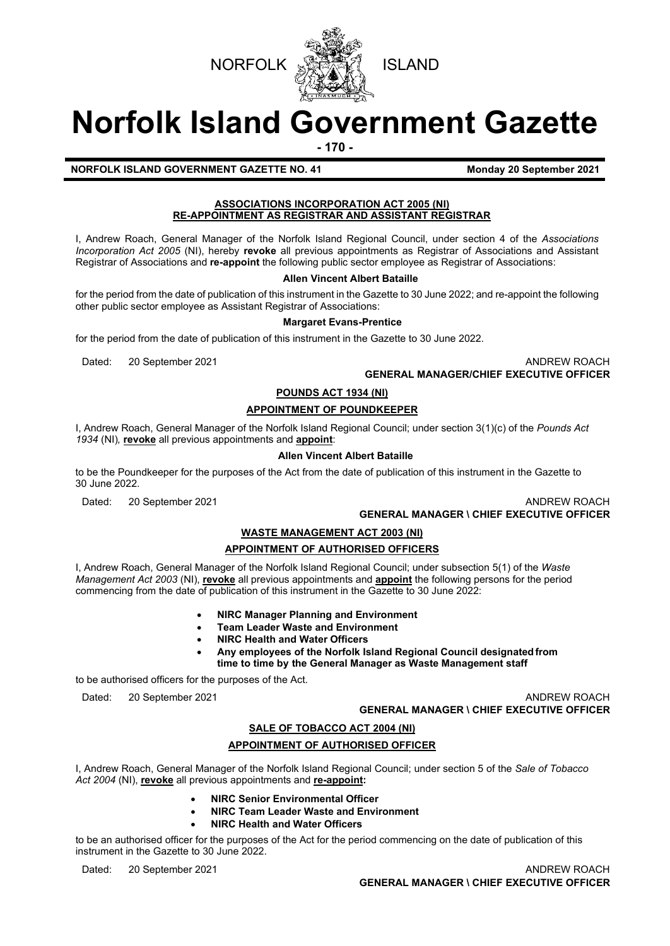



# **Norfolk Island Government Gazette**

**- 170 -**

# **NORFOLK ISLAND GOVERNMENT GAZETTE NO. 41 MORE 1998 Monday 20 September 2021**

## **ASSOCIATIONS INCORPORATION ACT 2005 (NI) RE-APPOINTMENT AS REGISTRAR AND ASSISTANT REGISTRAR**

I, Andrew Roach, General Manager of the Norfolk Island Regional Council, under section 4 of the *Associations Incorporation Act 2005* (NI), hereby **revoke** all previous appointments as Registrar of Associations and Assistant Registrar of Associations and **re-appoint** the following public sector employee as Registrar of Associations:

## **Allen Vincent Albert Bataille**

for the period from the date of publication of this instrument in the Gazette to 30 June 2022; and re-appoint the following other public sector employee as Assistant Registrar of Associations:

#### **Margaret Evans-Prentice**

for the period from the date of publication of this instrument in the Gazette to 30 June 2022.

Dated: 20 September 2021 **ANDREW ROACH ANDREW ROACH GENERAL MANAGER/CHIEF EXECUTIVE OFFICER**

# **POUNDS ACT 1934 (NI)**

## **APPOINTMENT OF POUNDKEEPER**

I, Andrew Roach, General Manager of the Norfolk Island Regional Council; under section 3(1)(c) of the *Pounds Act 1934* (NI)*,* **revoke** all previous appointments and **appoint**:

#### **Allen Vincent Albert Bataille**

to be the Poundkeeper for the purposes of the Act from the date of publication of this instrument in the Gazette to 30 June 2022.

Dated: 20 September 2021 ANDREW ROACH **GENERAL MANAGER \ CHIEF EXECUTIVE OFFICER**

## **WASTE MANAGEMENT ACT 2003 (NI)**

# **APPOINTMENT OF AUTHORISED OFFICERS**

I, Andrew Roach, General Manager of the Norfolk Island Regional Council; under subsection 5(1) of the *Waste Management Act 2003* (NI), **revoke** all previous appointments and **appoint** the following persons for the period commencing from the date of publication of this instrument in the Gazette to 30 June 2022:

- **NIRC Manager Planning and Environment**
- **Team Leader Waste and Environment**
- **NIRC Health and Water Officers**
- **Any employees of the Norfolk Island Regional Council designatedfrom time to time by the General Manager as Waste Management staff**

to be authorised officers for the purposes of the Act.

Dated: 20 September 2021 **ANDREW ROACH ANDREW ROACH GENERAL MANAGER \ CHIEF EXECUTIVE OFFICER**

## **SALE OF TOBACCO ACT 2004 (NI)**

# **APPOINTMENT OF AUTHORISED OFFICER**

I, Andrew Roach, General Manager of the Norfolk Island Regional Council; under section 5 of the *Sale of Tobacco Act 2004* (NI), **revoke** all previous appointments and **re-appoint:**

- **NIRC Senior Environmental Officer**
- **NIRC Team Leader Waste and Environment**
- **NIRC Health and Water Officers**

to be an authorised officer for the purposes of the Act for the period commencing on the date of publication of this instrument in the Gazette to 30 June 2022.

Dated: 20 September 2021 **ANDREW ROACH ANDREW ROACH GENERAL MANAGER \ CHIEF EXECUTIVE OFFICER**